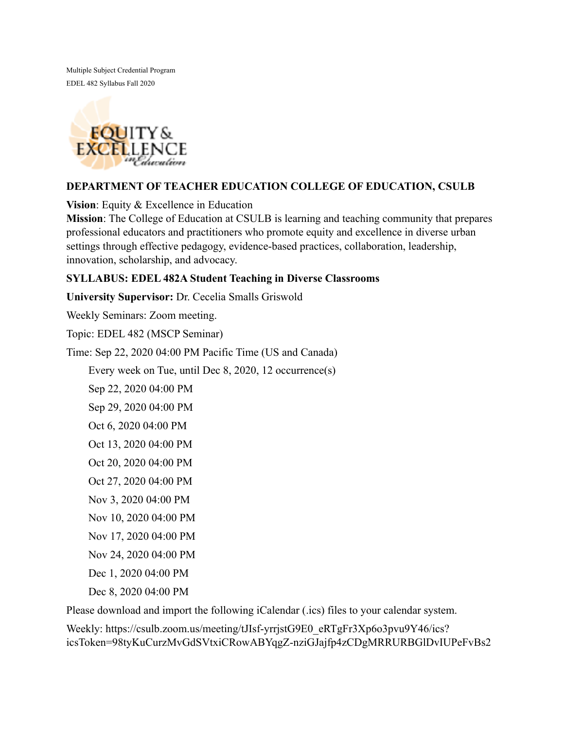Multiple Subject Credential Program EDEL 482 Syllabus Fall 2020



## **DEPARTMENT OF TEACHER EDUCATION COLLEGE OF EDUCATION, CSULB**

**Vision**: Equity & Excellence in Education

**Mission**: The College of Education at CSULB is learning and teaching community that prepares professional educators and practitioners who promote equity and excellence in diverse urban settings through effective pedagogy, evidence-based practices, collaboration, leadership, innovation, scholarship, and advocacy.

## **SYLLABUS: EDEL 482A Student Teaching in Diverse Classrooms**

**University Supervisor:** Dr. Cecelia Smalls Griswold

Weekly Seminars: Zoom meeting.

Topic: EDEL 482 (MSCP Seminar)

Time: Sep 22, 2020 04:00 PM Pacific Time (US and Canada)

Every week on Tue, until Dec 8, 2020, 12 occurrence(s)

Sep 22, 2020 04:00 PM

Sep 29, 2020 04:00 PM

Oct 6, 2020 04:00 PM

Oct 13, 2020 04:00 PM

Oct 20, 2020 04:00 PM

Oct 27, 2020 04:00 PM

Nov 3, 2020 04:00 PM

Nov 10, 2020 04:00 PM

Nov 17, 2020 04:00 PM

Nov 24, 2020 04:00 PM

Dec 1, 2020 04:00 PM

Dec 8, 2020 04:00 PM

Please download and import the following iCalendar (.ics) files to your calendar system.

Weekly: https://csulb.zoom.us/meeting/tJIsf-yrrjstG9E0\_eRTgFr3Xp6o3pvu9Y46/ics? icsToken=98tyKuCurzMvGdSVtxiCRowABYqgZ-nziGJajfp4zCDgMRRURBGlDvIUPeFvBs2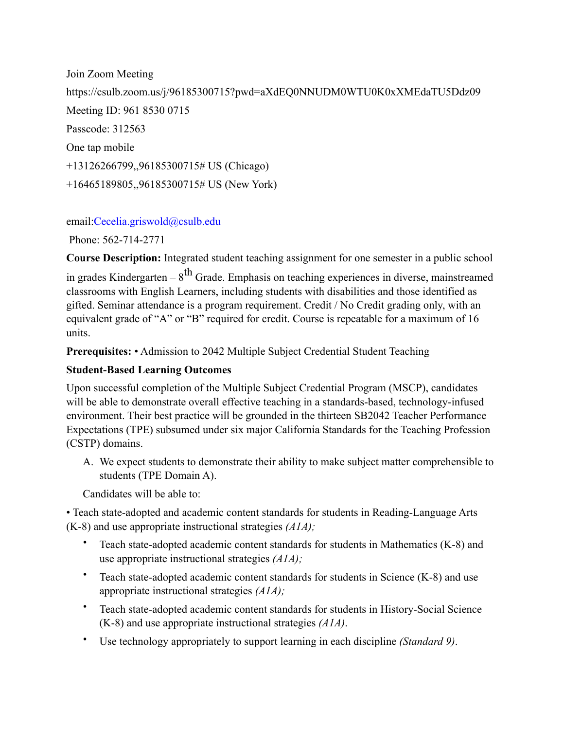Join Zoom Meeting https://csulb.zoom.us/j/96185300715?pwd=aXdEQ0NNUDM0WTU0K0xXMEdaTU5Ddz09 Meeting ID: 961 8530 0715 Passcode: 312563 One tap mobile +13126266799,,96185300715# US (Chicago) +16465189805,,96185300715# US (New York)

email:Cecelia.griswold@csulb.edu

Phone: 562-714-2771

**Course Description:** Integrated student teaching assignment for one semester in a public school

in grades Kindergarten –  $8^{th}$  Grade. Emphasis on teaching experiences in diverse, mainstreamed classrooms with English Learners, including students with disabilities and those identified as gifted. Seminar attendance is a program requirement. Credit / No Credit grading only, with an equivalent grade of "A" or "B" required for credit. Course is repeatable for a maximum of 16 units.

**Prerequisites:** • Admission to 2042 Multiple Subject Credential Student Teaching

# **Student-Based Learning Outcomes**

Upon successful completion of the Multiple Subject Credential Program (MSCP), candidates will be able to demonstrate overall effective teaching in a standards-based, technology-infused environment. Their best practice will be grounded in the thirteen SB2042 Teacher Performance Expectations (TPE) subsumed under six major California Standards for the Teaching Profession (CSTP) domains.

A. We expect students to demonstrate their ability to make subject matter comprehensible to students (TPE Domain A).

Candidates will be able to:

• Teach state-adopted and academic content standards for students in Reading-Language Arts (K-8) and use appropriate instructional strategies *(A1A);* 

- Teach state-adopted academic content standards for students in Mathematics (K-8) and use appropriate instructional strategies *(A1A);*
- Teach state-adopted academic content standards for students in Science (K-8) and use appropriate instructional strategies *(A1A);*
- Teach state-adopted academic content standards for students in History-Social Science (K-8) and use appropriate instructional strategies *(A1A)*.
- Use technology appropriately to support learning in each discipline *(Standard 9)*.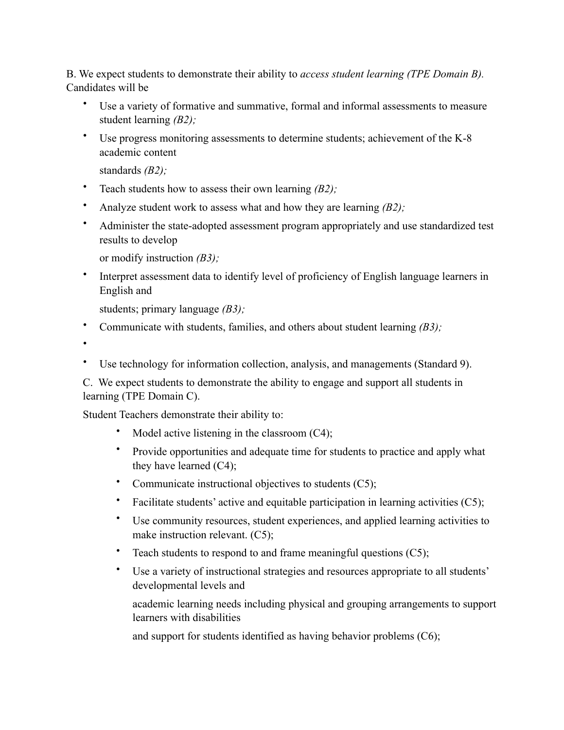B. We expect students to demonstrate their ability to *access student learning (TPE Domain B).*  Candidates will be

- Use a variety of formative and summative, formal and informal assessments to measure student learning *(B2);*
- Use progress monitoring assessments to determine students; achievement of the K-8 academic content

standards *(B2);* 

- Teach students how to assess their own learning *(B2);*
- Analyze student work to assess what and how they are learning *(B2);*
- Administer the state-adopted assessment program appropriately and use standardized test results to develop

or modify instruction *(B3);* 

• Interpret assessment data to identify level of proficiency of English language learners in English and

students; primary language *(B3);* 

• Communicate with students, families, and others about student learning *(B3);* 

•

Use technology for information collection, analysis, and managements (Standard 9).

C. We expect students to demonstrate the ability to engage and support all students in learning (TPE Domain C).

Student Teachers demonstrate their ability to:

- Model active listening in the classroom  $(C4)$ ;
- Provide opportunities and adequate time for students to practice and apply what they have learned (C4);
- Communicate instructional objectives to students (C5);
- Facilitate students' active and equitable participation in learning activities (C5);
- Use community resources, student experiences, and applied learning activities to make instruction relevant. (C5);
- Teach students to respond to and frame meaningful questions (C5);
- Use a variety of instructional strategies and resources appropriate to all students' developmental levels and

academic learning needs including physical and grouping arrangements to support learners with disabilities

and support for students identified as having behavior problems (C6);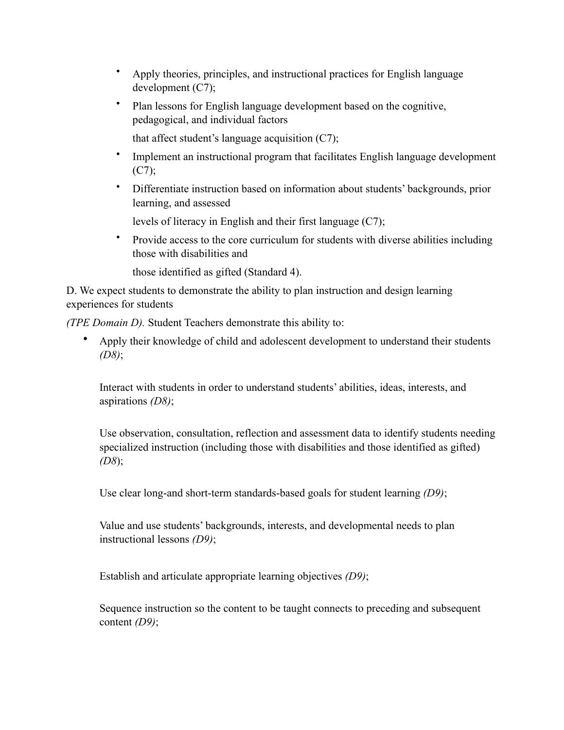- Apply theories, principles, and instructional practices for English language development (C7);
- Plan lessons for English language development based on the cognitive, pedagogical, and individual factors
	- that affect student's language acquisition  $(C7)$ ;
- Implement an instructional program that facilitates English language development  $(C7)$ ;
- Differentiate instruction based on information about students' backgrounds, prior learning, and assessed

levels of literacy in English and their first language (C7);

• Provide access to the core curriculum for students with diverse abilities including those with disabilities and

those identified as gifted (Standard 4).

D. We expect students to demonstrate the ability to plan instruction and design learning experiences for students

*(TPE Domain D).* Student Teachers demonstrate this ability to:

• Apply their knowledge of child and adolescent development to understand their students *(D8)*;

Interact with students in order to understand students' abilities, ideas, interests, and aspirations *(D8)*;

Use observation, consultation, reflection and assessment data to identify students needing specialized instruction (including those with disabilities and those identified as gifted) *(D8*);

Use clear long-and short-term standards-based goals for student learning *(D9)*;

Value and use students' backgrounds, interests, and developmental needs to plan instructional lessons *(D9)*;

Establish and articulate appropriate learning objectives *(D9)*;

Sequence instruction so the content to be taught connects to preceding and subsequent content *(D9)*;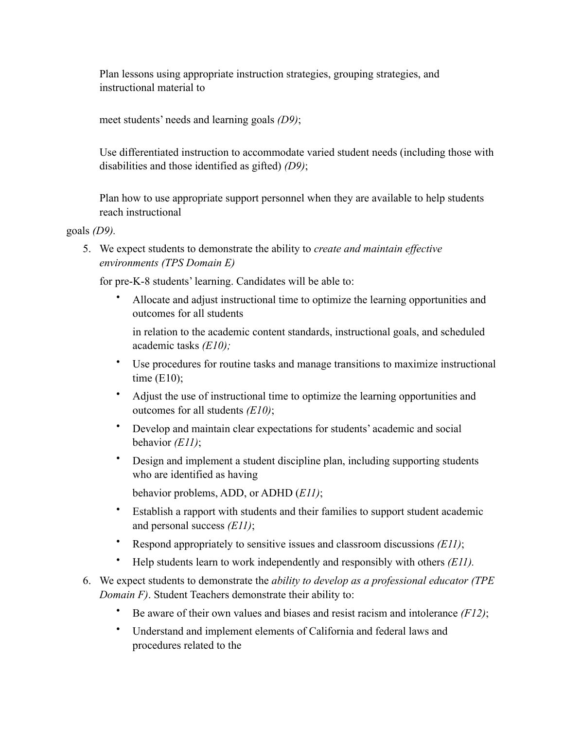Plan lessons using appropriate instruction strategies, grouping strategies, and instructional material to

meet students' needs and learning goals *(D9)*;

Use differentiated instruction to accommodate varied student needs (including those with disabilities and those identified as gifted) *(D9)*;

Plan how to use appropriate support personnel when they are available to help students reach instructional

goals *(D9).* 

5. We expect students to demonstrate the ability to *create and maintain effective environments (TPS Domain E)* 

for pre-K-8 students' learning. Candidates will be able to:

• Allocate and adjust instructional time to optimize the learning opportunities and outcomes for all students

in relation to the academic content standards, instructional goals, and scheduled academic tasks *(E10);* 

- Use procedures for routine tasks and manage transitions to maximize instructional time  $(E10)$ ;
- Adjust the use of instructional time to optimize the learning opportunities and outcomes for all students *(E10)*;
- Develop and maintain clear expectations for students' academic and social behavior *(E11)*;
- Design and implement a student discipline plan, including supporting students who are identified as having

behavior problems, ADD, or ADHD (*E11)*;

- Establish a rapport with students and their families to support student academic and personal success *(E11)*;
- Respond appropriately to sensitive issues and classroom discussions *(E11)*;
- Help students learn to work independently and responsibly with others *(E11).*
- 6. We expect students to demonstrate the *ability to develop as a professional educator (TPE Domain F)*. Student Teachers demonstrate their ability to:
	- Be aware of their own values and biases and resist racism and intolerance *(F12)*;
	- Understand and implement elements of California and federal laws and procedures related to the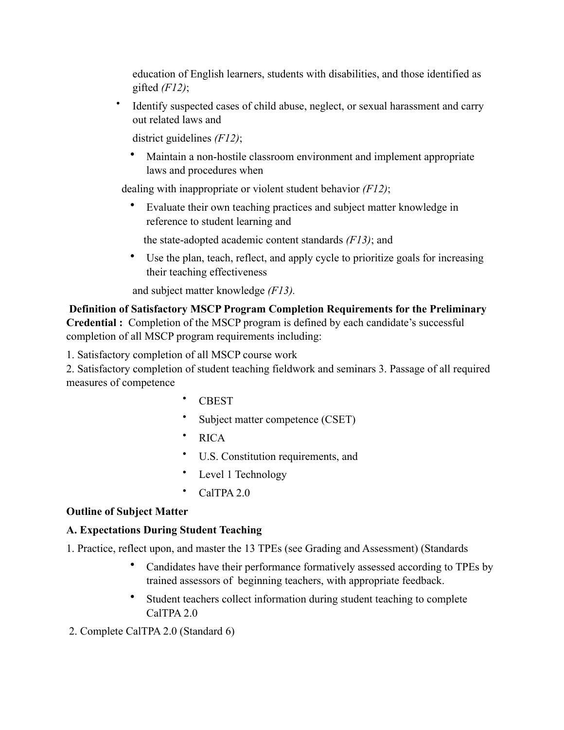education of English learners, students with disabilities, and those identified as gifted *(F12)*;

• Identify suspected cases of child abuse, neglect, or sexual harassment and carry out related laws and

district guidelines *(F12)*;

• Maintain a non-hostile classroom environment and implement appropriate laws and procedures when

dealing with inappropriate or violent student behavior *(F12)*;

• Evaluate their own teaching practices and subject matter knowledge in reference to student learning and

the state-adopted academic content standards *(F13)*; and

• Use the plan, teach, reflect, and apply cycle to prioritize goals for increasing their teaching effectiveness

and subject matter knowledge *(F13).* 

 **Definition of Satisfactory MSCP Program Completion Requirements for the Preliminary Credential :** Completion of the MSCP program is defined by each candidate's successful completion of all MSCP program requirements including:

1. Satisfactory completion of all MSCP course work

2. Satisfactory completion of student teaching fieldwork and seminars 3. Passage of all required measures of competence

- CBEST
- Subject matter competence (CSET)
- RICA
- U.S. Constitution requirements, and
- Level 1 Technology
- CalTPA 2.0

## **Outline of Subject Matter**

## **A. Expectations During Student Teaching**

- 1. Practice, reflect upon, and master the 13 TPEs (see Grading and Assessment) (Standards
	- Candidates have their performance formatively assessed according to TPEs by trained assessors of beginning teachers, with appropriate feedback.
	- Student teachers collect information during student teaching to complete CalTPA 2.0
- 2. Complete CalTPA 2.0 (Standard 6)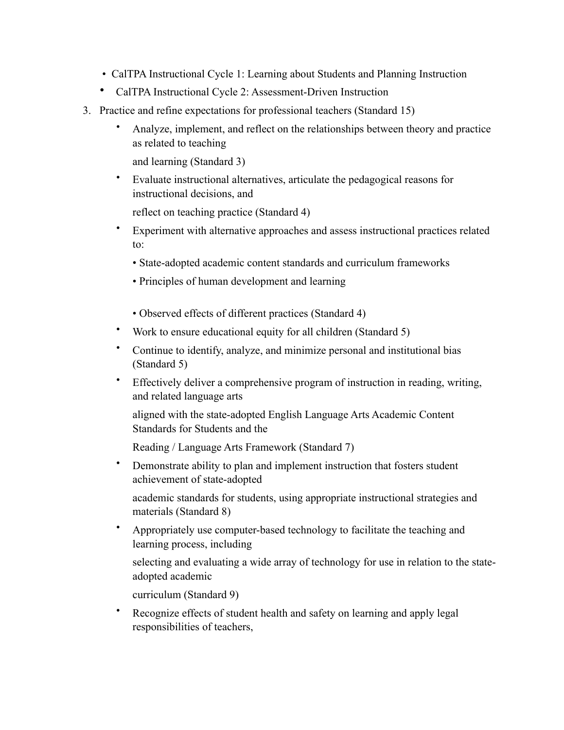- CalTPA Instructional Cycle 1: Learning about Students and Planning Instruction
- CalTPA Instructional Cycle 2: Assessment-Driven Instruction
- 3. Practice and refine expectations for professional teachers (Standard 15)
	- Analyze, implement, and reflect on the relationships between theory and practice as related to teaching

and learning (Standard 3)

• Evaluate instructional alternatives, articulate the pedagogical reasons for instructional decisions, and

reflect on teaching practice (Standard 4)

- Experiment with alternative approaches and assess instructional practices related to:
	- State-adopted academic content standards and curriculum frameworks
	- Principles of human development and learning
	- Observed effects of different practices (Standard 4)
- Work to ensure educational equity for all children (Standard 5)
- Continue to identify, analyze, and minimize personal and institutional bias (Standard 5)
- Effectively deliver a comprehensive program of instruction in reading, writing, and related language arts

aligned with the state-adopted English Language Arts Academic Content Standards for Students and the

Reading / Language Arts Framework (Standard 7)

• Demonstrate ability to plan and implement instruction that fosters student achievement of state-adopted

academic standards for students, using appropriate instructional strategies and materials (Standard 8)

• Appropriately use computer-based technology to facilitate the teaching and learning process, including

selecting and evaluating a wide array of technology for use in relation to the stateadopted academic

curriculum (Standard 9)

Recognize effects of student health and safety on learning and apply legal responsibilities of teachers,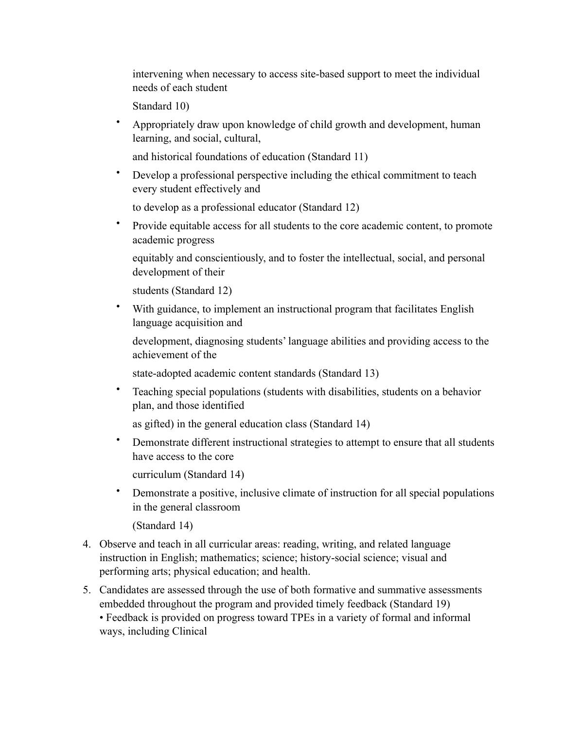intervening when necessary to access site-based support to meet the individual needs of each student

Standard 10)

• Appropriately draw upon knowledge of child growth and development, human learning, and social, cultural,

and historical foundations of education (Standard 11)

• Develop a professional perspective including the ethical commitment to teach every student effectively and

to develop as a professional educator (Standard 12)

• Provide equitable access for all students to the core academic content, to promote academic progress

equitably and conscientiously, and to foster the intellectual, social, and personal development of their

students (Standard 12)

• With guidance, to implement an instructional program that facilitates English language acquisition and

development, diagnosing students' language abilities and providing access to the achievement of the

state-adopted academic content standards (Standard 13)

• Teaching special populations (students with disabilities, students on a behavior plan, and those identified

as gifted) in the general education class (Standard 14)

• Demonstrate different instructional strategies to attempt to ensure that all students have access to the core

curriculum (Standard 14)

• Demonstrate a positive, inclusive climate of instruction for all special populations in the general classroom

(Standard 14)

- 4. Observe and teach in all curricular areas: reading, writing, and related language instruction in English; mathematics; science; history-social science; visual and performing arts; physical education; and health.
- 5. Candidates are assessed through the use of both formative and summative assessments embedded throughout the program and provided timely feedback (Standard 19)

• Feedback is provided on progress toward TPEs in a variety of formal and informal ways, including Clinical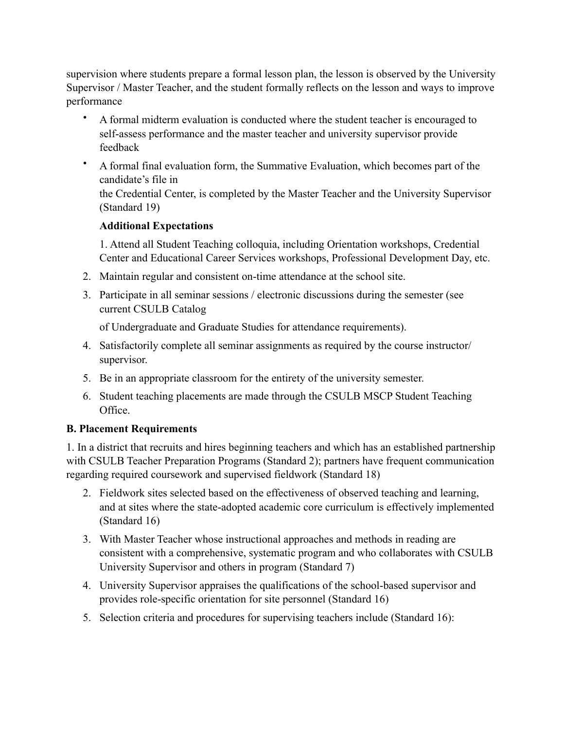supervision where students prepare a formal lesson plan, the lesson is observed by the University Supervisor / Master Teacher, and the student formally reflects on the lesson and ways to improve performance

- A formal midterm evaluation is conducted where the student teacher is encouraged to self-assess performance and the master teacher and university supervisor provide feedback
- A formal final evaluation form, the Summative Evaluation, which becomes part of the candidate's file in the Credential Center, is completed by the Master Teacher and the University Supervisor (Standard 19)

## **Additional Expectations**

1. Attend all Student Teaching colloquia, including Orientation workshops, Credential Center and Educational Career Services workshops, Professional Development Day, etc.

- 2. Maintain regular and consistent on-time attendance at the school site.
- 3. Participate in all seminar sessions / electronic discussions during the semester (see current CSULB Catalog

of Undergraduate and Graduate Studies for attendance requirements).

- 4. Satisfactorily complete all seminar assignments as required by the course instructor/ supervisor.
- 5. Be in an appropriate classroom for the entirety of the university semester.
- 6. Student teaching placements are made through the CSULB MSCP Student Teaching Office.

#### **B. Placement Requirements**

1. In a district that recruits and hires beginning teachers and which has an established partnership with CSULB Teacher Preparation Programs (Standard 2); partners have frequent communication regarding required coursework and supervised fieldwork (Standard 18)

- 2. Fieldwork sites selected based on the effectiveness of observed teaching and learning, and at sites where the state-adopted academic core curriculum is effectively implemented (Standard 16)
- 3. With Master Teacher whose instructional approaches and methods in reading are consistent with a comprehensive, systematic program and who collaborates with CSULB University Supervisor and others in program (Standard 7)
- 4. University Supervisor appraises the qualifications of the school-based supervisor and provides role-specific orientation for site personnel (Standard 16)
- 5. Selection criteria and procedures for supervising teachers include (Standard 16):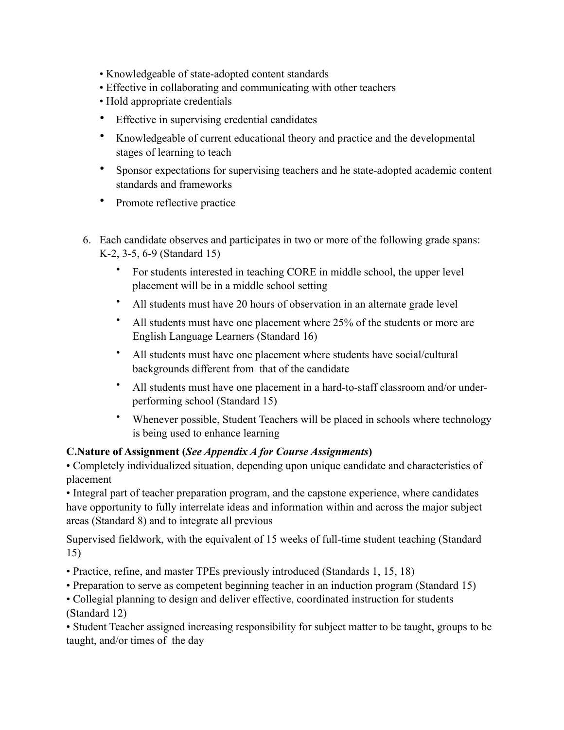- Knowledgeable of state-adopted content standards
- Effective in collaborating and communicating with other teachers
- Hold appropriate credentials
- Effective in supervising credential candidates
- Knowledgeable of current educational theory and practice and the developmental stages of learning to teach
- Sponsor expectations for supervising teachers and he state-adopted academic content standards and frameworks
- Promote reflective practice
- 6. Each candidate observes and participates in two or more of the following grade spans: K-2, 3-5, 6-9 (Standard 15)
	- For students interested in teaching CORE in middle school, the upper level placement will be in a middle school setting
	- All students must have 20 hours of observation in an alternate grade level
	- All students must have one placement where 25% of the students or more are English Language Learners (Standard 16)
	- All students must have one placement where students have social/cultural backgrounds different from that of the candidate
	- All students must have one placement in a hard-to-staff classroom and/or underperforming school (Standard 15)
	- Whenever possible, Student Teachers will be placed in schools where technology is being used to enhance learning

#### **C.Nature of Assignment (***See Appendix A for Course Assignments***)**

• Completely individualized situation, depending upon unique candidate and characteristics of placement

• Integral part of teacher preparation program, and the capstone experience, where candidates have opportunity to fully interrelate ideas and information within and across the major subject areas (Standard 8) and to integrate all previous

Supervised fieldwork, with the equivalent of 15 weeks of full-time student teaching (Standard 15)

- Practice, refine, and master TPEs previously introduced (Standards 1, 15, 18)
- Preparation to serve as competent beginning teacher in an induction program (Standard 15)
- Collegial planning to design and deliver effective, coordinated instruction for students (Standard 12)

• Student Teacher assigned increasing responsibility for subject matter to be taught, groups to be taught, and/or times of the day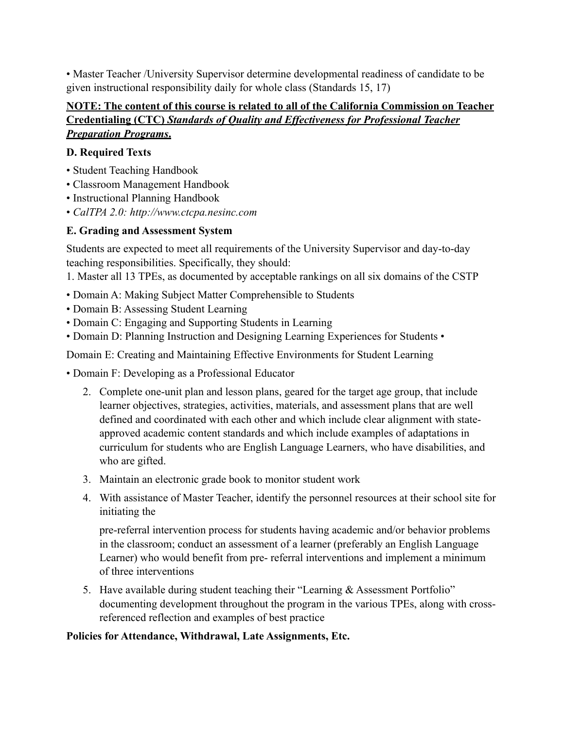• Master Teacher /University Supervisor determine developmental readiness of candidate to be given instructional responsibility daily for whole class (Standards 15, 17)

## **NOTE: The content of this course is related to all of the California Commission on Teacher Credentialing (CTC)** *Standards of Quality and Effectiveness for Professional Teacher Preparation Programs***.**

## **D. Required Texts**

- Student Teaching Handbook
- Classroom Management Handbook
- Instructional Planning Handbook
- *CalTPA 2.0: http://www.ctcpa.nesinc.com*

# **E. Grading and Assessment System**

Students are expected to meet all requirements of the University Supervisor and day-to-day teaching responsibilities. Specifically, they should:

1. Master all 13 TPEs, as documented by acceptable rankings on all six domains of the CSTP

- Domain A: Making Subject Matter Comprehensible to Students
- Domain B: Assessing Student Learning
- Domain C: Engaging and Supporting Students in Learning
- Domain D: Planning Instruction and Designing Learning Experiences for Students •

Domain E: Creating and Maintaining Effective Environments for Student Learning

- Domain F: Developing as a Professional Educator
	- 2. Complete one-unit plan and lesson plans, geared for the target age group, that include learner objectives, strategies, activities, materials, and assessment plans that are well defined and coordinated with each other and which include clear alignment with stateapproved academic content standards and which include examples of adaptations in curriculum for students who are English Language Learners, who have disabilities, and who are gifted.
	- 3. Maintain an electronic grade book to monitor student work
	- 4. With assistance of Master Teacher, identify the personnel resources at their school site for initiating the

pre-referral intervention process for students having academic and/or behavior problems in the classroom; conduct an assessment of a learner (preferably an English Language Learner) who would benefit from pre- referral interventions and implement a minimum of three interventions

5. Have available during student teaching their "Learning & Assessment Portfolio" documenting development throughout the program in the various TPEs, along with crossreferenced reflection and examples of best practice

## **Policies for Attendance, Withdrawal, Late Assignments, Etc.**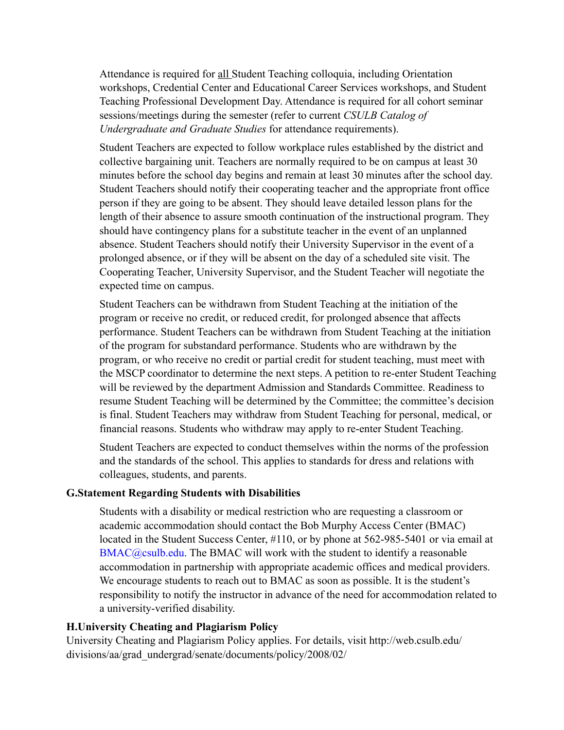Attendance is required for all Student Teaching colloquia, including Orientation workshops, Credential Center and Educational Career Services workshops, and Student Teaching Professional Development Day. Attendance is required for all cohort seminar sessions/meetings during the semester (refer to current *CSULB Catalog of Undergraduate and Graduate Studies* for attendance requirements).

Student Teachers are expected to follow workplace rules established by the district and collective bargaining unit. Teachers are normally required to be on campus at least 30 minutes before the school day begins and remain at least 30 minutes after the school day. Student Teachers should notify their cooperating teacher and the appropriate front office person if they are going to be absent. They should leave detailed lesson plans for the length of their absence to assure smooth continuation of the instructional program. They should have contingency plans for a substitute teacher in the event of an unplanned absence. Student Teachers should notify their University Supervisor in the event of a prolonged absence, or if they will be absent on the day of a scheduled site visit. The Cooperating Teacher, University Supervisor, and the Student Teacher will negotiate the expected time on campus.

Student Teachers can be withdrawn from Student Teaching at the initiation of the program or receive no credit, or reduced credit, for prolonged absence that affects performance. Student Teachers can be withdrawn from Student Teaching at the initiation of the program for substandard performance. Students who are withdrawn by the program, or who receive no credit or partial credit for student teaching, must meet with the MSCP coordinator to determine the next steps. A petition to re-enter Student Teaching will be reviewed by the department Admission and Standards Committee. Readiness to resume Student Teaching will be determined by the Committee; the committee's decision is final. Student Teachers may withdraw from Student Teaching for personal, medical, or financial reasons. Students who withdraw may apply to re-enter Student Teaching.

Student Teachers are expected to conduct themselves within the norms of the profession and the standards of the school. This applies to standards for dress and relations with colleagues, students, and parents.

#### **G.Statement Regarding Students with Disabilities**

Students with a disability or medical restriction who are requesting a classroom or academic accommodation should contact the Bob Murphy Access Center (BMAC) located in the Student Success Center, #110, or by phone at 562-985-5401 or via email at BMAC@csulb.edu. The BMAC will work with the student to identify a reasonable accommodation in partnership with appropriate academic offices and medical providers. We encourage students to reach out to BMAC as soon as possible. It is the student's responsibility to notify the instructor in advance of the need for accommodation related to a university-verified disability.

#### **H.University Cheating and Plagiarism Policy**

University Cheating and Plagiarism Policy applies. For details, visit http://web.csulb.edu/ divisions/aa/grad\_undergrad/senate/documents/policy/2008/02/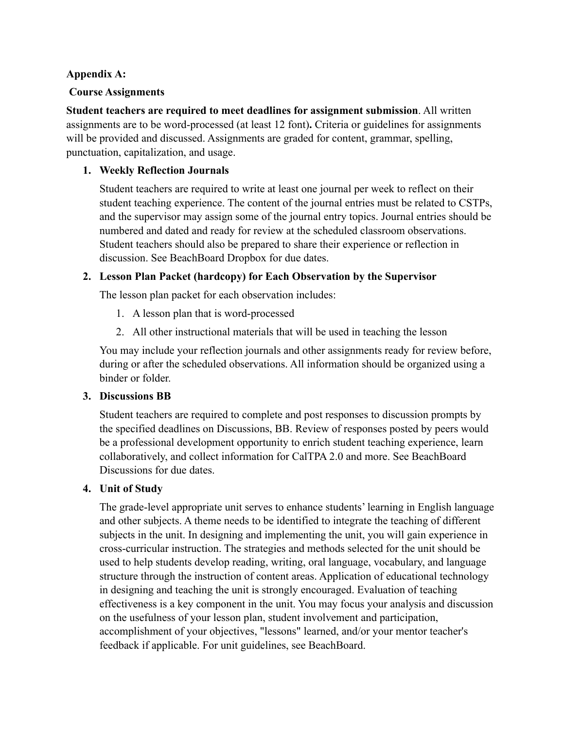#### **Appendix A:**

#### **Course Assignments**

**Student teachers are required to meet deadlines for assignment submission**. All written assignments are to be word-processed (at least 12 font)**.** Criteria or guidelines for assignments will be provided and discussed. Assignments are graded for content, grammar, spelling, punctuation, capitalization, and usage.

### **1. Weekly Reflection Journals**

Student teachers are required to write at least one journal per week to reflect on their student teaching experience. The content of the journal entries must be related to CSTPs, and the supervisor may assign some of the journal entry topics. Journal entries should be numbered and dated and ready for review at the scheduled classroom observations. Student teachers should also be prepared to share their experience or reflection in discussion. See BeachBoard Dropbox for due dates.

### **2. Lesson Plan Packet (hardcopy) for Each Observation by the Supervisor**

The lesson plan packet for each observation includes:

- 1. A lesson plan that is word-processed
- 2. All other instructional materials that will be used in teaching the lesson

You may include your reflection journals and other assignments ready for review before, during or after the scheduled observations. All information should be organized using a binder or folder.

#### **3. Discussions BB**

Student teachers are required to complete and post responses to discussion prompts by the specified deadlines on Discussions, BB. Review of responses posted by peers would be a professional development opportunity to enrich student teaching experience, learn collaboratively, and collect information for CalTPA 2.0 and more. See BeachBoard Discussions for due dates.

#### **4. Unit of Study**

The grade-level appropriate unit serves to enhance students' learning in English language and other subjects. A theme needs to be identified to integrate the teaching of different subjects in the unit. In designing and implementing the unit, you will gain experience in cross-curricular instruction. The strategies and methods selected for the unit should be used to help students develop reading, writing, oral language, vocabulary, and language structure through the instruction of content areas. Application of educational technology in designing and teaching the unit is strongly encouraged. Evaluation of teaching effectiveness is a key component in the unit. You may focus your analysis and discussion on the usefulness of your lesson plan, student involvement and participation, accomplishment of your objectives, "lessons" learned, and/or your mentor teacher's feedback if applicable. For unit guidelines, see BeachBoard.